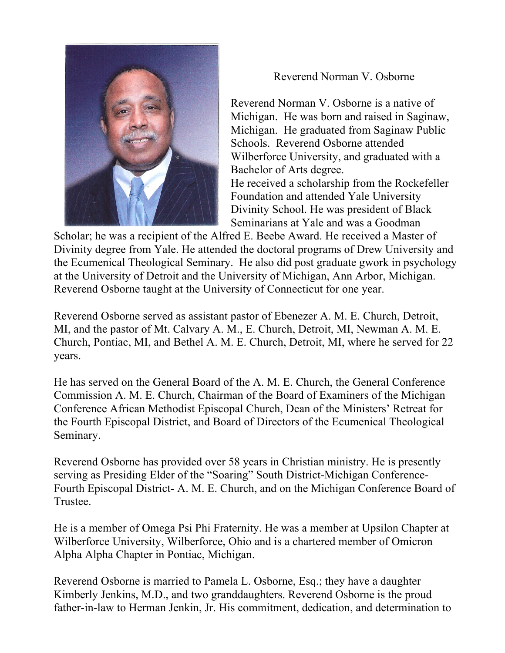

Reverend Norman V. Osborne

Reverend Norman V. Osborne is a native of Michigan. He was born and raised in Saginaw, Michigan. He graduated from Saginaw Public Schools. Reverend Osborne attended Wilberforce University, and graduated with a Bachelor of Arts degree. He received a scholarship from the Rockefeller

Foundation and attended Yale University Divinity School. He was president of Black Seminarians at Yale and was a Goodman

Scholar; he was a recipient of the Alfred E. Beebe Award. He received a Master of Divinity degree from Yale. He attended the doctoral programs of Drew University and the Ecumenical Theological Seminary. He also did post graduate gwork in psychology at the University of Detroit and the University of Michigan, Ann Arbor, Michigan. Reverend Osborne taught at the University of Connecticut for one year.

Reverend Osborne served as assistant pastor of Ebenezer A. M. E. Church, Detroit, MI, and the pastor of Mt. Calvary A. M., E. Church, Detroit, MI, Newman A. M. E. Church, Pontiac, MI, and Bethel A. M. E. Church, Detroit, MI, where he served for 22 years.

He has served on the General Board of the A. M. E. Church, the General Conference Commission A. M. E. Church, Chairman of the Board of Examiners of the Michigan Conference African Methodist Episcopal Church, Dean of the Ministers' Retreat for the Fourth Episcopal District, and Board of Directors of the Ecumenical Theological Seminary.

Reverend Osborne has provided over 58 years in Christian ministry. He is presently serving as Presiding Elder of the "Soaring" South District-Michigan Conference-Fourth Episcopal District- A. M. E. Church, and on the Michigan Conference Board of Trustee.

He is a member of Omega Psi Phi Fraternity. He was a member at Upsilon Chapter at Wilberforce University, Wilberforce, Ohio and is a chartered member of Omicron Alpha Alpha Chapter in Pontiac, Michigan.

Reverend Osborne is married to Pamela L. Osborne, Esq.; they have a daughter Kimberly Jenkins, M.D., and two granddaughters. Reverend Osborne is the proud father-in-law to Herman Jenkin, Jr. His commitment, dedication, and determination to